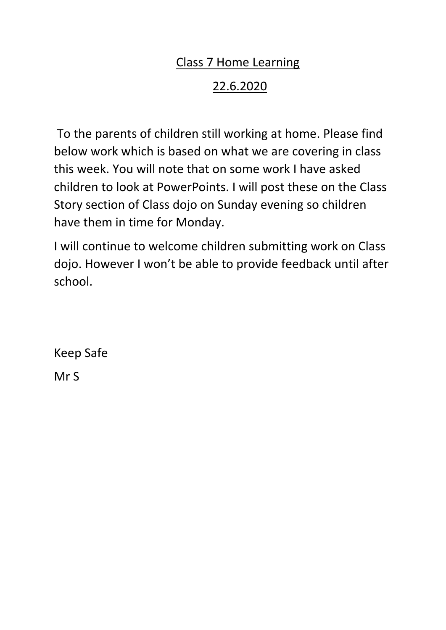### Class 7 Home Learning

## 22.6.2020

To the parents of children still working at home. Please find below work which is based on what we are covering in class this week. You will note that on some work I have asked children to look at PowerPoints. I will post these on the Class Story section of Class dojo on Sunday evening so children have them in time for Monday.

I will continue to welcome children submitting work on Class dojo. However I won't be able to provide feedback until after school.

Keep Safe Mr S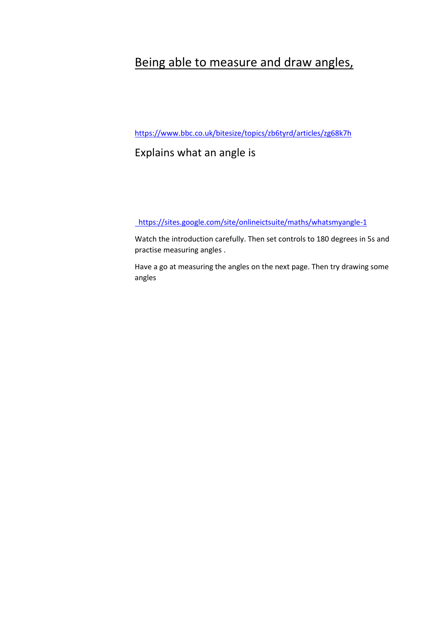#### Being able to measure and draw angles,

<https://www.bbc.co.uk/bitesize/topics/zb6tyrd/articles/zg68k7h>

#### Explains what an angle is

<https://sites.google.com/site/onlineictsuite/maths/whatsmyangle-1>

Watch the introduction carefully. Then set controls to 180 degrees in 5s and practise measuring angles .

Have a go at measuring the angles on the next page. Then try drawing some angles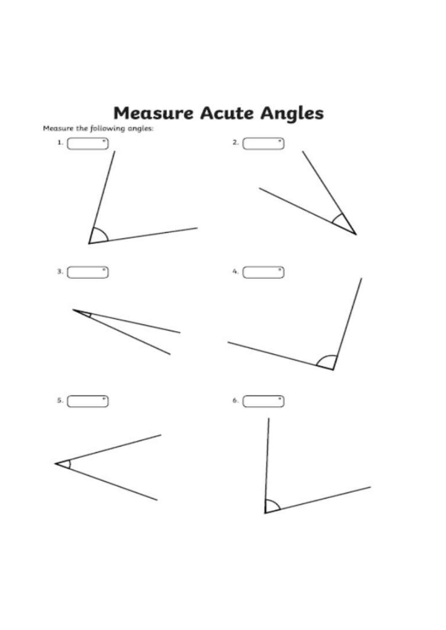# **Measure Acute Angles**

Measure the following angles:















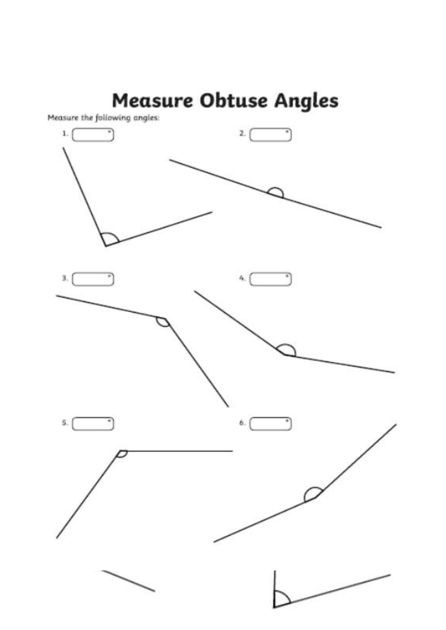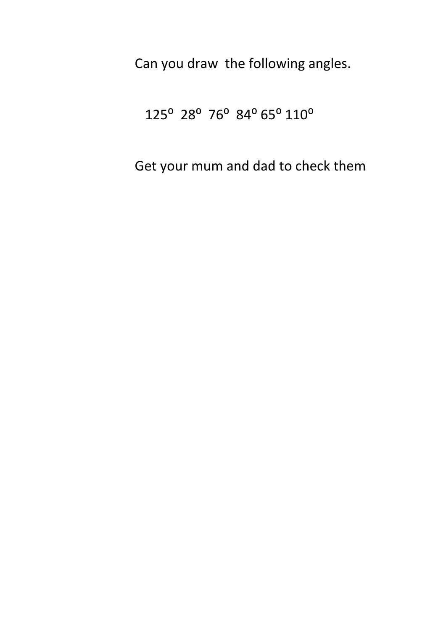Can you draw the following angles.

## 125<sup>°</sup> 28<sup>°</sup> 76<sup>°</sup> 84<sup>°</sup> 65<sup>°</sup> 110<sup>°</sup>

Get your mum and dad to check them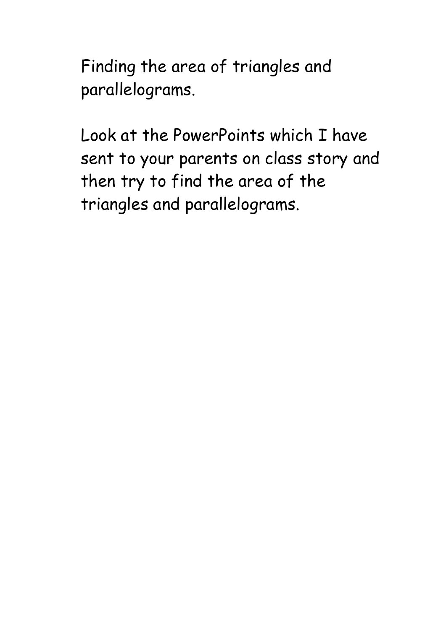Finding the area of triangles and parallelograms.

Look at the PowerPoints which I have sent to your parents on class story and then try to find the area of the triangles and parallelograms.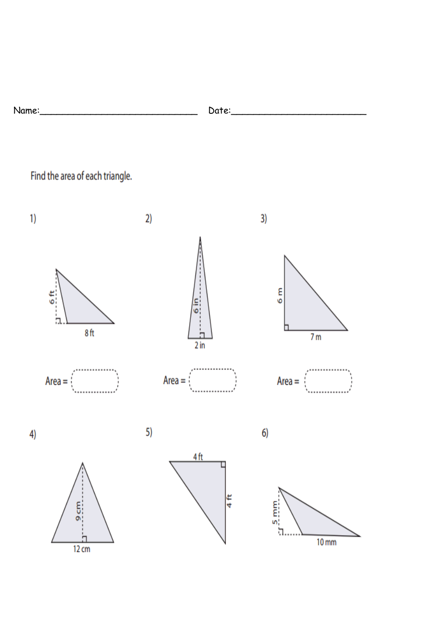| N١<br><b>11</b><br>$-1 - 1 -$<br>___<br>___ | --<br>-<br>__ |
|---------------------------------------------|---------------|
|                                             |               |

Find the area of each triangle.

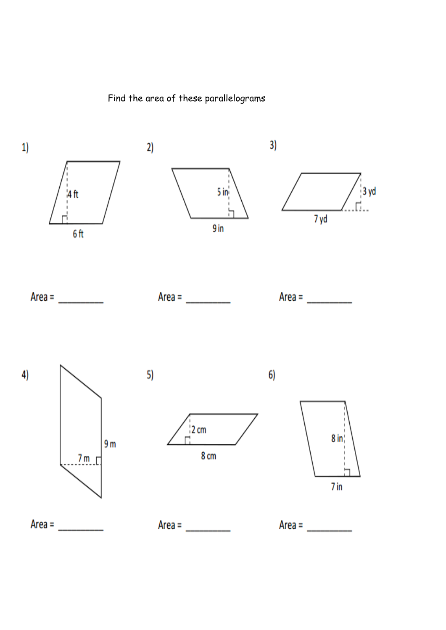Find the area of these parallelograms

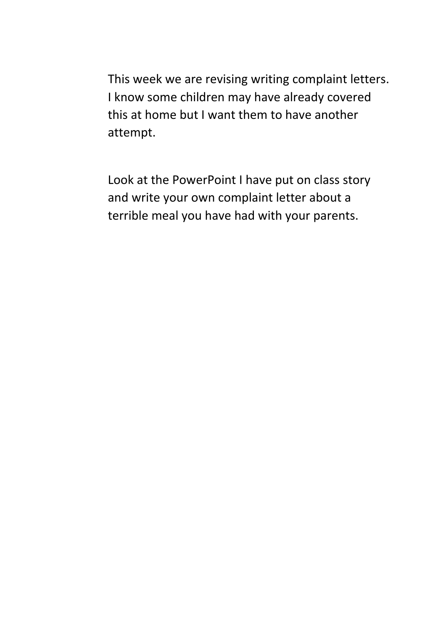This week we are revising writing complaint letters. I know some children may have already covered this at home but I want them to have another attempt.

Look at the PowerPoint I have put on class story and write your own complaint letter about a terrible meal you have had with your parents.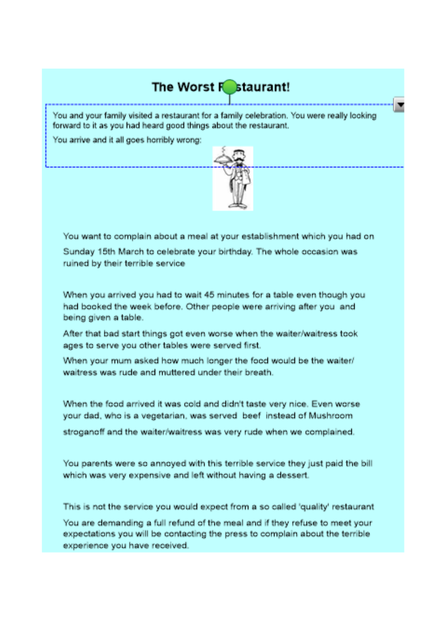## The Worst F staurant!

You and your family visited a restaurant for a family celebration. You were really looking forward to it as you had heard good things about the restaurant.

You arrive and it all goes horribly wrong:



You want to complain about a meal at your establishment which you had on Sunday 15th March to celebrate your birthday. The whole occasion was ruined by their terrible service

When you arrived you had to wait 45 minutes for a table even though you had booked the week before. Other people were arriving after you and being given a table.

After that bad start things got even worse when the waiter/waitress took ages to serve you other tables were served first.

When your mum asked how much longer the food would be the waiter/ waitress was rude and muttered under their breath.

When the food arrived it was cold and didn't taste very nice. Even worse your dad, who is a vegetarian, was served beef instead of Mushroom

stroganoff and the waiter/waitress was very rude when we complained.

You parents were so annoyed with this terrible service they just paid the bill which was very expensive and left without having a dessert.

This is not the service you would expect from a so called 'quality' restaurant

You are demanding a full refund of the meal and if they refuse to meet your expectations you will be contacting the press to complain about the terrible experience you have received.